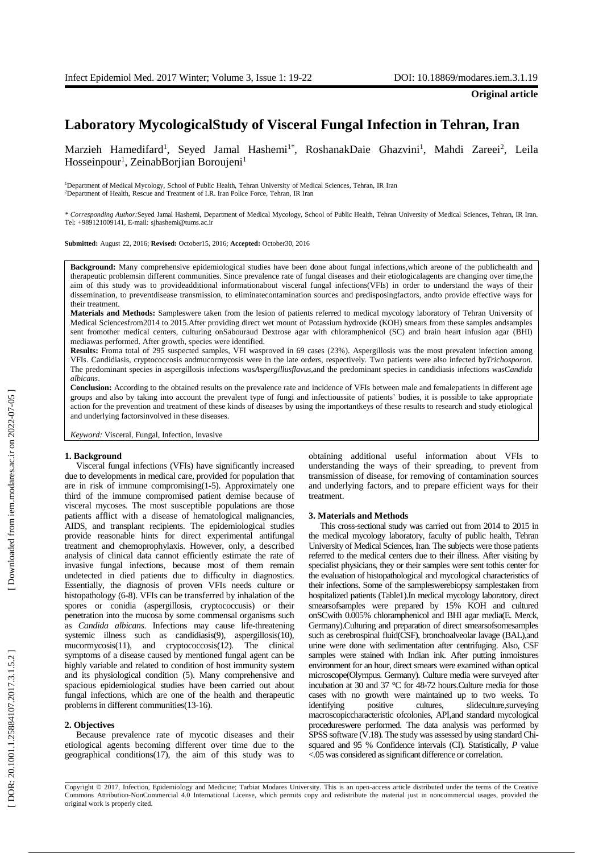# **Laboratory Mycological Study of Visceral Fungal Infection in Tehran, Iran**

Marzieh Hamedifard<sup>1</sup>, Seyed Jamal Hashemi<sup>1\*</sup>, RoshanakDaie Ghazvini<sup>1</sup>, Mahdi Zareei<sup>2</sup>, Leila Hosseinpour<sup>1</sup>, ZeinabBorjian Boroujeni<sup>1</sup>

<sup>1</sup>Department of Medical Mycology, School of Public Health, Tehran University of Medical Sciences, Tehran, IR Iran <sup>2</sup>Department of Health, Rescue and Treatment of I.R. Iran Police Force, Tehran, IR Iran

*\* Corresponding Author:*Seyed Jamal Hashemi, Department of Medical Mycology, School of Public Health, Tehran University of Medical Sciences, Tehran, IR Iran. Tel: +989121009141, E -mail: sjhashemi@tums.ac.ir

**Submitted:** August 22, 2016; **Revised :** October15, 2016; **Accepted :** October30, 2016

**Background:** Many comprehensive epidemiological studies have been done about fungal infections,which areone of the publichealth and therapeutic problemsin different communities. Since prevalence rate of fungal diseases and their etiologicalagents are changing over time,the aim of this study was to provideadditional informationabout visceral fungal infections(VFI s ) in order to understand the ways of their dissemination, to preventdisease transmission, to eliminat econtamination sources and predisposingfactors, andto provide effective ways for their treatment .

**Materials and Methods:** Sampleswere taken from the lesion of patients referred to medical mycology laboratory of Tehran University of Medical Sciencesfrom2014 to 2015.After providing direct wet mount of Potassium hydroxide (KOH ) smear s from these samples andsamples sent fromother medical centers, culturing onSabouraud Dextrose agar with chloramphenicol (SC ) and brain heart infusion agar (BHI) mediawas performed. After growth, species were identified.

Results: Froma total of 295 suspected samples, VFI wasproved in 69 cases (23%). Aspergillosis was the most prevalent infection among VFI s. Candidiasis, cryptococcosis andmucormycosis were in the late orders, respectively. Two patients were also infected by*Trichosporon* . The predominant species in aspergillosis infections wasAspergillusflavus, and the predominant species in candidiasis infections wasCandida *albicans* .

Conclusion: According to the obtained results on the prevalence rate and incidence of VFIs between male and femalepatients in different age groups and also by taking into account the prevalent type of fung i and infectioussite of patients' bodies, it is possible to take appropriate action for the prevention and treatment of these kinds of diseases by using the importantkeys of these results to research and study etiological and underlying factorsinvolved in these disease s .

*Keyword:* Visceral, Fungal, Infection, Invasive

#### **1. Background**

Visceral fungal infections (VFI s ) have significantly increased due to developments in medical care, provided for population that are in risk of immune compromising(1 -5). Approximately one third of the immune compromised patient demise because of visceral mycoses . The most susceptible populations are those patients afflict with a disease of hematological malignancies, AIDS , and transplant recipients . The epidemiological studies provide reasonable hints for direct e xp erimental antifungal treatment and chemoprophylaxis. However, only, a described analysis of clinical data cannot efficiently estimate the rate of invasive fungal infections , because most of them remain undetected in died patients due to difficulty in diagnostics. Essentially, the diagnosis of proven VFI s needs culture or histopathology (6 -8). VFIs can be transferred by inhalation of the spores or conidia (aspergillosis, cryptococcusis) or their penetration into the mucosa by some commensal organisms such as *Candida albicans*. Infections may cause life-threatening systemic illness such as candidiasis(9), aspergillosis(10), mucormycosis(11), and cryptococcosis(12). The clinical symptoms of a disease caused by mentioned fungal agent can be highly variable and related to condition of host immunity system and its physiological condition (5). Many comprehensive and spacious epidemiological studies have been carried out about fungal infections , which are one of the health and therapeutic problems in different communities(13 -16).

### **2. Objectives**

Because prevalence rate of mycotic diseases and their etiological agents becoming different over time due to the geographical conditions(17), the aim of this study was to

obtaining additional useful information about VFI s to understanding the ways of their spreading, to prevent from transmission of disease, for removing of contamination sources and underlying factors, and to prepare efficient ways for their treatment .

#### **3. Materials and Methods**

This cross -sectional study was carried out from 2014 to 2015 in the medical mycology laboratory, faculty of public health, Tehran University of Medical Sciences, Iran . The subjects were those patients referred to the medical centers due to their illness . After visiting by specialist physician s, they or their samples were sent tothis center for the evaluation of histopathological and mycological characteristics of their infections . Some of the sampleswerebiopsy samplestaken from hospitalized patients (Table1) .In medical mycology laboratory, direct smearsofsamples were prepared by 15% KOH and cultured onSCwith 0.005% chloramphenicol and BHI agar media(E. Merck, Germany). Culturing and preparation of direct smear sofsomesamples such as cerebrospinal fluid(CSF), bronchoalveolar lavage (BAL), and urine were done with sedimentation after centrifuging. Also , CSF samples were stained with Indian ink. After putting inmoistures environment for an hour, direct smears were examined with an optical microscope(Olympus. Germany) . Culture media were surveyed after incubation at 30 and 3 7 °C for 48 -72 hours . Culture media for those cases with no growth were maintained up to two weeks. To identifying positive cultures, slideculture, surveying macroscopiccharacteristic ofcolonies , API ,and standard mycological procedureswere performed. The data analysis was performed by SPSS software (V.18). The study was assessed by using standard Chi squared and 95 % Confidence intervals (CI). Statistically, *P* value <.05 was considered as significant difference or correlation .

Copyright © 2017, Infection, Epidemiology and Medicine; Tarbiat Modares University. This is an open -access article distributed under the terms of the Creative Commons Attribution -NonCommercial 4.0 International License, which permits copy and redistribute the material just in noncommercial usages, provided the original work is properly cited.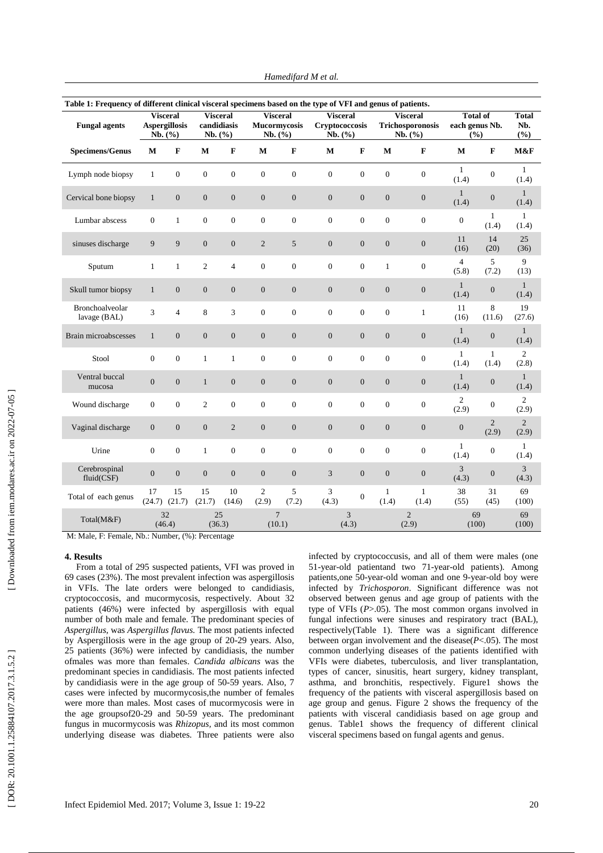| Table 1: Frequency of different clinical visceral specimens based on the type of VFI and genus of patients. |                                                    |                  |                                           |                  |                                                   |                |                                              |                  |                                                |                       |                                             |                         |                            |
|-------------------------------------------------------------------------------------------------------------|----------------------------------------------------|------------------|-------------------------------------------|------------------|---------------------------------------------------|----------------|----------------------------------------------|------------------|------------------------------------------------|-----------------------|---------------------------------------------|-------------------------|----------------------------|
| <b>Fungal agents</b>                                                                                        | <b>Visceral</b><br><b>Aspergillosis</b><br>Nb. (%) |                  | <b>Visceral</b><br>candidiasis<br>Nb. (%) |                  | <b>Visceral</b><br><b>Mucormycosis</b><br>Nb. (%) |                | <b>Visceral</b><br>Cryptococcosis<br>Nb. (%) |                  | <b>Visceral</b><br>Trichosporonosis<br>Nb. (%) |                       | <b>Total of</b><br>each genus Nb.<br>$($ %) |                         | <b>Total</b><br>Nb.<br>(%) |
| <b>Specimens/Genus</b>                                                                                      | $\mathbf M$                                        | $\mathbf{F}$     | $\mathbf M$                               | F                | $\mathbf M$                                       | $\mathbf F$    | $\mathbf M$                                  | $\mathbf F$      | $\mathbf{M}$                                   | $\mathbf F$           | $\mathbf{M}$                                | $\bf F$                 | M&F                        |
| Lymph node biopsy                                                                                           | $\mathbf{1}$                                       | $\overline{0}$   | $\boldsymbol{0}$                          | $\mathbf{0}$     | $\boldsymbol{0}$                                  | $\mathbf{0}$   | $\overline{0}$                               | $\boldsymbol{0}$ | $\boldsymbol{0}$                               | $\boldsymbol{0}$      | $\mathbf{1}$<br>(1.4)                       | $\boldsymbol{0}$        | $\mathbf{1}$<br>(1.4)      |
| Cervical bone biopsy                                                                                        | $\mathbf{1}$                                       | $\boldsymbol{0}$ | $\boldsymbol{0}$                          | $\boldsymbol{0}$ | $\boldsymbol{0}$                                  | $\mathbf{0}$   | $\mathbf{0}$                                 | $\boldsymbol{0}$ | $\boldsymbol{0}$                               | $\boldsymbol{0}$      | $\mathbf{1}$<br>(1.4)                       | $\boldsymbol{0}$        | $\mathbf{1}$<br>(1.4)      |
| Lumbar abscess                                                                                              | $\Omega$                                           | $\mathbf{1}$     | $\boldsymbol{0}$                          | $\mathbf{0}$     | $\overline{0}$                                    | $\theta$       | $\overline{0}$                               | $\boldsymbol{0}$ | $\overline{0}$                                 | $\boldsymbol{0}$      | $\overline{0}$                              | $\mathbf{1}$<br>(1.4)   | $\mathbf{1}$<br>(1.4)      |
| sinuses discharge                                                                                           | 9                                                  | 9                | $\overline{0}$                            | $\mathbf{0}$     | $\overline{2}$                                    | 5              | $\overline{0}$                               | $\boldsymbol{0}$ | $\overline{0}$                                 | $\boldsymbol{0}$      | 11<br>(16)                                  | 14<br>(20)              | 25<br>(36)                 |
| Sputum                                                                                                      | $\mathbf{1}$                                       | $\mathbf{1}$     | $\overline{c}$                            | $\overline{4}$   | $\boldsymbol{0}$                                  | $\mathbf{0}$   | $\mathbf{0}$                                 | $\boldsymbol{0}$ | $\mathbf{1}$                                   | $\boldsymbol{0}$      | $\overline{4}$<br>(5.8)                     | 5<br>(7.2)              | 9<br>(13)                  |
| Skull tumor biopsy                                                                                          | $\mathbf{1}$                                       | $\boldsymbol{0}$ | $\boldsymbol{0}$                          | $\mathbf{0}$     | $\boldsymbol{0}$                                  | $\mathbf{0}$   | $\boldsymbol{0}$                             | $\boldsymbol{0}$ | $\boldsymbol{0}$                               | $\boldsymbol{0}$      | $\mathbf{1}$<br>(1.4)                       | $\boldsymbol{0}$        | $\mathbf{1}$<br>(1.4)      |
| Bronchoalveolar<br>lavage (BAL)                                                                             | 3                                                  | $\overline{4}$   | 8                                         | 3                | $\overline{0}$                                    | $\mathbf{0}$   | $\overline{0}$                               | $\boldsymbol{0}$ | $\mathbf{0}$                                   | $\mathbf{1}$          | 11<br>(16)                                  | 8<br>(11.6)             | 19<br>(27.6)               |
| Brain microabscesses                                                                                        | $\mathbf{1}$                                       | $\boldsymbol{0}$ | $\boldsymbol{0}$                          | $\boldsymbol{0}$ | $\boldsymbol{0}$                                  | $\mathbf{0}$   | $\overline{0}$                               | $\boldsymbol{0}$ | $\mathbf{0}$                                   | $\boldsymbol{0}$      | $\mathbf{1}$<br>(1.4)                       | $\boldsymbol{0}$        | $\mathbf{1}$<br>(1.4)      |
| Stool                                                                                                       | $\overline{0}$                                     | $\overline{0}$   | $\mathbf{1}$                              | $\mathbf{1}$     | $\overline{0}$                                    | $\mathbf{0}$   | $\overline{0}$                               | $\overline{0}$   | $\overline{0}$                                 | $\boldsymbol{0}$      | $\mathbf{1}$<br>(1.4)                       | $\mathbf{1}$<br>(1.4)   | $\overline{c}$<br>(2.8)    |
| Ventral buccal<br>mucosa                                                                                    | $\overline{0}$                                     | $\overline{0}$   | $\mathbf{1}$                              | $\overline{0}$   | $\overline{0}$                                    | $\overline{0}$ | $\overline{0}$                               | $\boldsymbol{0}$ | $\boldsymbol{0}$                               | $\boldsymbol{0}$      | $\mathbf{1}$<br>(1.4)                       | $\boldsymbol{0}$        | $\mathbf{1}$<br>(1.4)      |
| Wound discharge                                                                                             | $\overline{0}$                                     | $\overline{0}$   | $\overline{c}$                            | $\overline{0}$   | $\overline{0}$                                    | $\theta$       | $\overline{0}$                               | $\boldsymbol{0}$ | $\overline{0}$                                 | $\boldsymbol{0}$      | $\mathfrak{2}$<br>(2.9)                     | $\boldsymbol{0}$        | $\mathfrak{2}$<br>(2.9)    |
| Vaginal discharge                                                                                           | $\overline{0}$                                     | $\overline{0}$   | $\overline{0}$                            | $\overline{2}$   | $\overline{0}$                                    | $\overline{0}$ | $\overline{0}$                               | $\overline{0}$   | $\overline{0}$                                 | $\boldsymbol{0}$      | $\boldsymbol{0}$                            | $\overline{2}$<br>(2.9) | 2<br>(2.9)                 |
| Urine                                                                                                       | $\overline{0}$                                     | $\overline{0}$   | $\mathbf{1}$                              | $\overline{0}$   | $\Omega$                                          | $\mathbf{0}$   | $\theta$                                     | $\overline{0}$   | $\mathbf{0}$                                   | $\overline{0}$        | 1<br>(1.4)                                  | $\mathbf{0}$            | $\mathbf{1}$<br>(1.4)      |
| Cerebrospinal<br>fluid(CSF)                                                                                 | $\mathbf{0}$                                       | $\boldsymbol{0}$ | $\boldsymbol{0}$                          | $\boldsymbol{0}$ | $\boldsymbol{0}$                                  | $\mathbf{0}$   | 3                                            | $\boldsymbol{0}$ | $\boldsymbol{0}$                               | $\boldsymbol{0}$      | 3<br>(4.3)                                  | $\boldsymbol{0}$        | 3<br>(4.3)                 |
| Total of each genus                                                                                         | 17<br>(24.7)                                       | 15<br>(21.7)     | 15<br>(21.7)                              | 10<br>(14.6)     | $\overline{c}$<br>(2.9)                           | 5<br>(7.2)     | 3<br>(4.3)                                   | $\boldsymbol{0}$ | 1<br>(1.4)                                     | $\mathbf{1}$<br>(1.4) | 38<br>(55)                                  | 31<br>(45)              | 69<br>(100)                |
| Total(M&F)                                                                                                  | 32<br>(46.4)                                       |                  | 25<br>(36.3)                              |                  | $\overline{7}$<br>(10.1)                          |                | 3<br>(4.3)                                   |                  | $\overline{c}$<br>(2.9)                        |                       | 69<br>(100)                                 |                         | 69<br>(100)                |

*Hamedifard M et al.*

M: Male, F: Female, Nb.: Number, (%): Percentage

# **4. Results**

From a total of 295 suspected patients, VFI was proved in 69 cases (23%). The most prevalent infection was aspergillosis in VFI s. The late orders were belonged to candidiasis, cryptococcosis , and mucormycosis, respectively. About 32 patients (46%) were infected by aspergillosis with equal number of both male and female. The predominant species of *Aspergillus*, was *Aspergillus flavus.*  The most patients infected by Aspergillosis were in the age group of 20-29 years. Also, 25 patients (36%) were infected by candidiasis, the number ofmales was more than females. *Candida albicans* was the predominant species in candidiasis *.* The most patients infected by candidiasis were in the age group of 50-59 years. Also, 7 cases were infected by mucormycosis,th e number of females were more than males. Most cases of mucormycosis were in the age group sof2 0 - 2 9 and 5 0 - 5 9 years. The predominant fungus in mucormycosis was *Rhizopus*, and its most common underlying d isease was diabete s . Three patient s were also

infected by cryptococcusis , and all of them were male s (one 51 -year -old patientand two 71 -year -old patients ). Among patients,one 50 -year -old woman and one 9 -year -old boy were infected by *Trichosporon* . Significant difference was not observed between genus and age group of patients with the type of VFIs ( *P*>.05). The most common organs involved in fungal infections were sinuses and respiratory tract (BAL), respectively(Table 1) . There was a significant difference between organ involvement and the disease( *P*<.05). The most common underlying d isease s of the patients identified with VFI s were diabetes, tuberculosis, and liver transplantation, types of cancer, sinusitis, heart surgery, kidney transplant, asthma , and bronchitis, respectively . Figure1 shows the frequency of the patient s with visceral aspergillosis based on age group and genus. Figure 2 shows the frequency of the patient s with visceral candidiasis based on age group and genus . Table 1 shows the frequency of different clinical visceral specimens based on fungal agents and genus .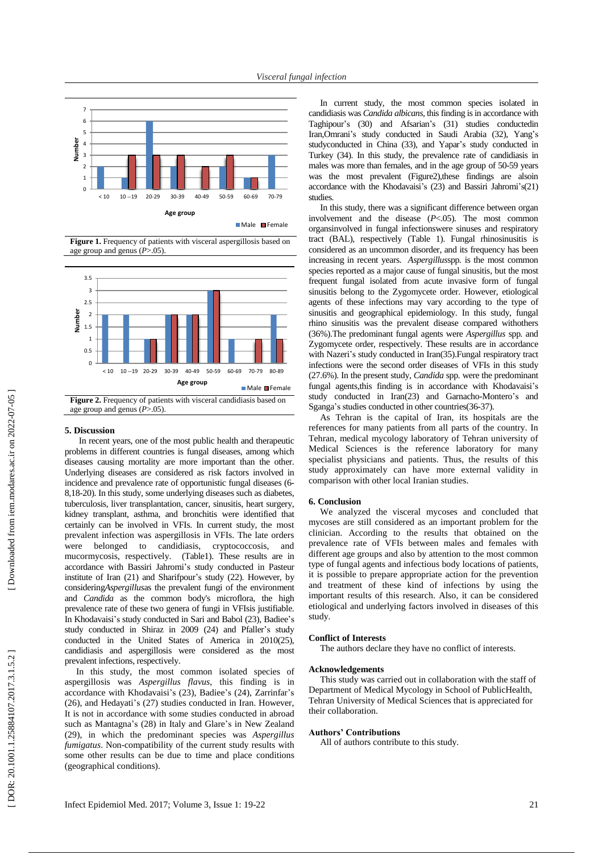

Male Female

**Figure 1.** Frequency of patients with visceral aspergillosis based on age group and genus ( *P*>.05) .



#### **5. Discussion**

In recent years, one of the most public health and therapeutic problems in different countries is fungal disease s , among which diseases causing mortality are more important than the other. Underlying diseases are considered as risk factors involved in incidence and prevalence rate of opportunistic fungal diseases (6 - 8 ,18 -20). In this study, some underlying disease s such as diabetes, tuberculosis, liver transplantation, cancer, sinusitis, heart surgery, kidney transplant, asthma , and bronchitis were identified that certainly can be involved in VFI s. In current study, the most prevalent infection was aspergillosis in VFIs. The late orders were belonged to candidiasis, cryptococcosis, and mucormycosis, respectively. (Table1). These results are in accordance with Bassiri Jahromi's stud y conducted in Pasteur institute of Iran (21) and Sharifpour's study (22). However, by considering*Aspergillus*as the prevalent fungi of the environment and *Candida* as the common body's microflora, the high prevalence rate of these two genera of fungi in VFI sis justifiable. In Khodav aisi's study conducted in Sari and Bab ol (23), Badie e's study conducted in Shiraz in 2009 (24) and Pfaller's study conducted in the United States of America in 2010(25) , candidiasis and aspergillosis were considered as the most prevalent infections, respectively .

In this study, the most common isolated species of aspergillosis was *Aspergillus flavus*, this finding is in accordance with Khodav aisi's (23), Badie e's (24), Zarrinfar's (26) , and Hedayati's (27) studies conducted in Iran . However, I t is not in accordance with some studies conducted in abroad such as Mantagna's (28) in Italy and Glare's in New Zealand (29) , in which the predominant species was *Aspergillus fumigatus*. Non -compatibility of the current study results with some other results can be due to time and place conditions (geographical conditions).

In current study, the most common species isolated in candidiasis was *Candida albicans,* this finding is in accordance with Taghipour's (30) and Afsarian's (31) studies conductedin Iran , Omrani's study conducted in Saudi Arabia (32), Yang's studyconducted in China (33) , and Yapar's study conducted in Turkey (34). In this study, the prevalence rate of candidiasis in males was more than females, and in the age group of 50 -59 years was the most prevalent (Figure2), these findings are also in accordance with the Khodavaisi's (23) and Bassiri Jahromi's(21) studies .

In this study, there was a significant difference between organ involvement and the disease  $(P<.05)$ . The most common organsinvolved in fungal infectionswere sinuses and respiratory tract (BAL), respectively (Table 1). Fungal rhinosinusitis is considered as an uncommon disorder , and its frequency has been increasing in recent years. Aspergillusspp. is the most common species reported as a major cause of fungal sinusitis , but the most frequent fungal isolated from acute invasive form of fungal sinusitis belong to the Zygomycete order. However, etiological agents of these infections may vary according to the type of sinusitis and geographical epidemiology. In this study, fungal rhino sinusitis was the prevalent disease compared withothers (36%).The predominant fungal agents were *Aspergillus* sp p*.* and Zygomycete order, respectively. These results are in accordance with Nazeri's study conducted in Iran(35). Fungal respiratory tract infection s were the second order diseases of VFI s in this study (27.6%). In the present study, *Candida*  s p p *.* were the predominant fungal agents,this finding is in accordance with Khodavaisi's study conducted in Iran(23) and [Garnacho](https://www.ncbi.nlm.nih.gov/pubmed/?term=Garnacho-Montero%20J%5BAuthor%5D&cauthor=true&cauthor_uid=23817660) -Montero's and [Sganga'](https://www.ncbi.nlm.nih.gov/pubmed/?term=Sganga%20G%5BAuthor%5D&cauthor=true&cauthor_uid=24034031)s studies conducted in other countries(36 -37).

As Tehran is the capital of Iran, its hospitals are the references for many patients from all parts of the country. In Tehran, medical mycology laboratory of Tehran university of Medical Sciences is the reference laboratory for many specialist physicians and patients. Thus, the results of this study approximately can have more external validity in comparison with other local Iranian studies.

### **6. Conclusion**

We analyzed the visceral mycoses and concluded that mycoses are still considered as an important problem for the clinician. According to the results that obtained on the prevalence rate of VFI s between males and females with different age groups and also by attention to the most common type of fungal agents and infectious body locations of patient s , it is possible to prepare appropriate action for the prevention and treatment of these kind of infections by using the important results of this research. Also, it can be considered etiological and underlying factors involved in diseases of this study .

# **Conflict of Interests**

The authors declare they have no conflict of interests.

# **Acknowledgements**

This study was carried out in collaboration with the staff of Department of Medical Mycology in School of PublicHealth, Tehran University of Medical Sciences that is appreciated for their collaboration.

# **Authors' Contributions**

All of authors contribute to this study.